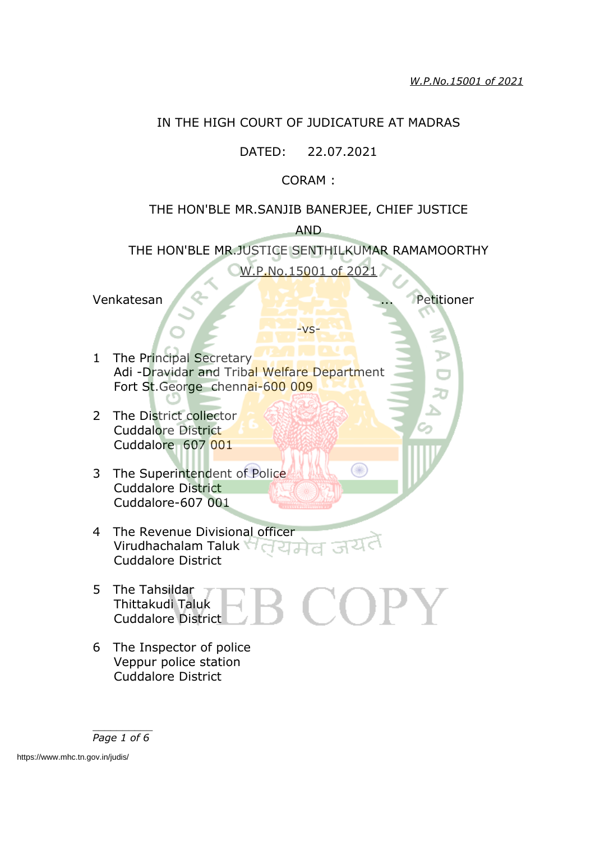# IN THE HIGH COURT OF JUDICATURE AT MADRAS

## DATED: 22.07.2021

## CORAM :

# THE HON'BLE MR.SANJIB BANERJEE, CHIEF JUSTICE AND

THE HON'BLE MR.JUSTICE SENTHILKUMAR RAMAMOORTHY W.P.No.15001 of 2021

-vs-

O

Venkatesan ... Petitioner

- 1 The Principal Secretary Adi -Dravidar and Tribal Welfare Department Fort St.George chennai-600 009
- 2 The District collector Cuddalore District Cuddalore 607 001
- 3 The Superintendent of Police Cuddalore District Cuddalore-607 001
- 4 The Revenue Divisional officer Virudhachalam Taluk Halala Cuddalore District
- 5 The Tahsildar  $\begin{pmatrix} 1 \\ 1 \end{pmatrix}$  $\bf{OPT}$ Thittakudi Taluk Cuddalore District
- 6 The Inspector of police Veppur police station Cuddalore District

*Page 1 of 6*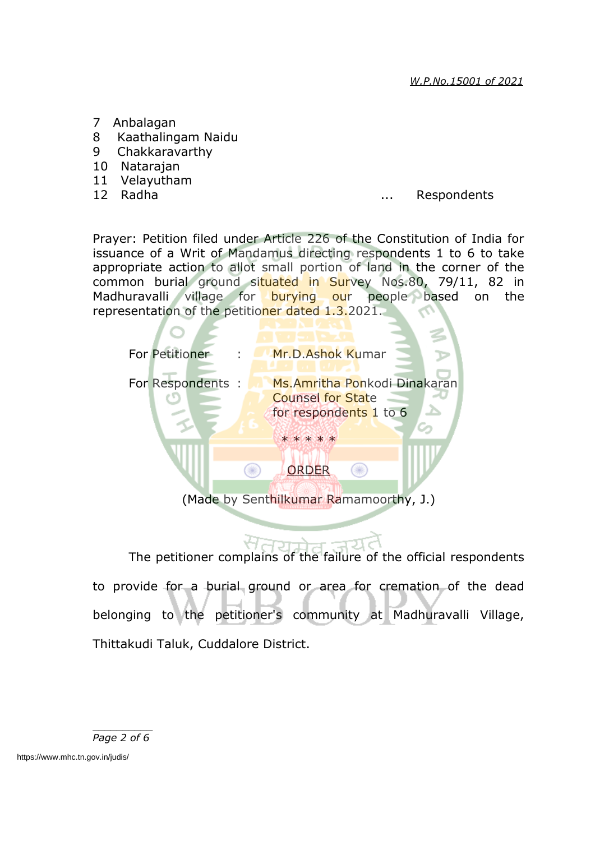- 7 Anbalagan
- 8 Kaathalingam Naidu
- 9 Chakkaravarthy
- 10 Natarajan
- 11 Velayutham
- 

# 12 Radha ... Respondents

Prayer: Petition filed under Article 226 of the Constitution of India for issuance of a Writ of Mandamus directing respondents 1 to 6 to take appropriate action to allot small portion of land in the corner of the common burial ground situated in Survey Nos.80, 79/11, 82 in Madhuravalli village for burying our people based on the representation of the petitioner dated 1.3.2021.



The petitioner complains of the failure of the official respondents to provide for a burial ground or area for cremation of the dead belonging to the petitioner's community at Madhuravalli Village, Thittakudi Taluk, Cuddalore District.

*Page 2 of 6*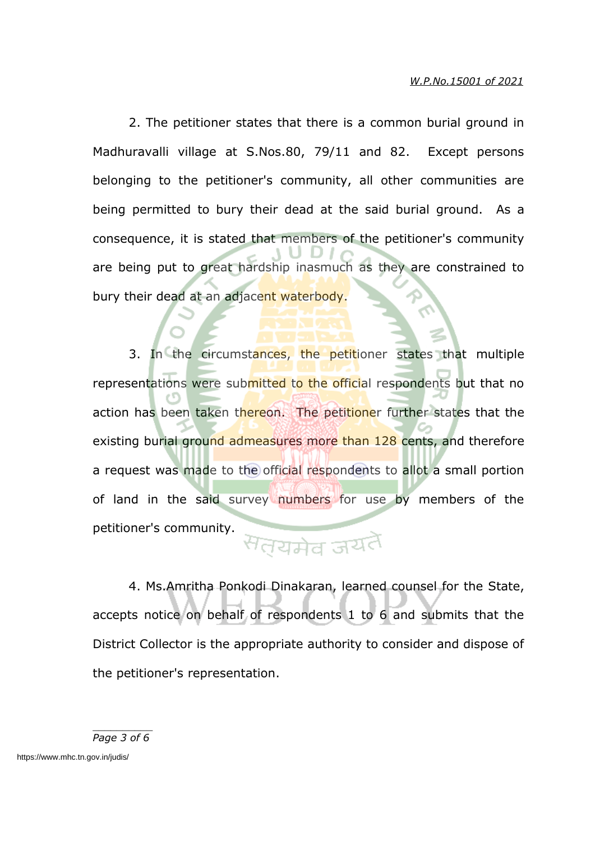2. The petitioner states that there is a common burial ground in Madhuravalli village at S.Nos.80, 79/11 and 82. Except persons belonging to the petitioner's community, all other communities are being permitted to bury their dead at the said burial ground. As a consequence, it is stated that members of the petitioner's community are being put to great hardship inasmuch as they are constrained to bury their dead at an adjacent waterbody.

3. In the circumstances, the petitioner states that multiple representations were submitted to the official respondents but that no action has been taken thereon. The petitioner further states that the existing burial ground admeasures more than 128 cents, and therefore a request was made to the official respondents to allot a small portion of land in the said survey numbers for use by members of the petitioner's community.

# सत्यमेव जयतै

4. Ms.Amritha Ponkodi Dinakaran, learned counsel for the State, accepts notice on behalf of respondents 1 to 6 and submits that the District Collector is the appropriate authority to consider and dispose of the petitioner's representation.

*Page 3 of 6*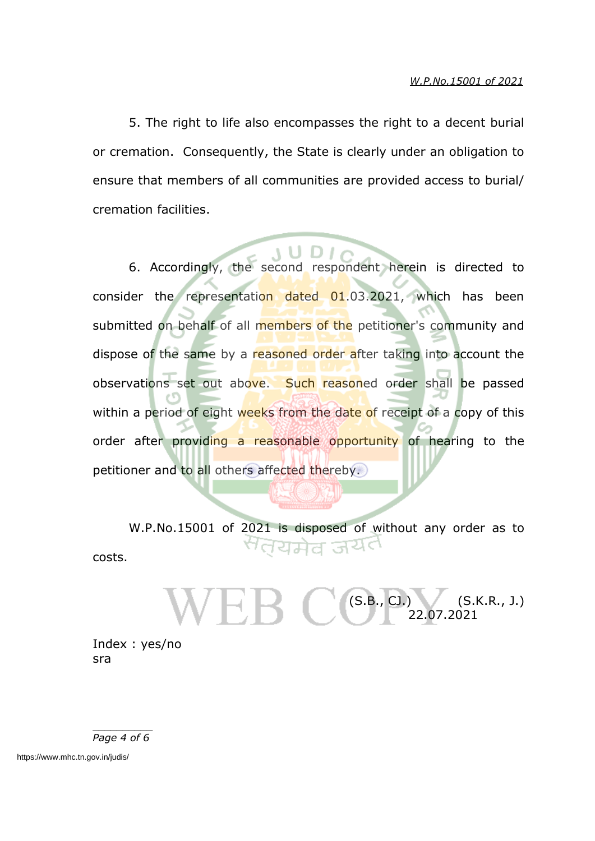5. The right to life also encompasses the right to a decent burial or cremation. Consequently, the State is clearly under an obligation to ensure that members of all communities are provided access to burial/ cremation facilities.

6. Accordingly, the second respondent herein is directed to consider the representation dated 01.03.2021, which has been submitted on behalf of all members of the petitioner's community and dispose of the same by a reasoned order after taking into account the observations set out above. Such reasoned order shall be passed within a period of eight weeks from the date of receipt of a copy of this order after providing a reasonable opportunity of hearing to the petitioner and to all others affected thereby.

W.P.No.15001 of 2021 is disposed of without any order as to <sup>स</sup>तयमेव जयंत costs.

> $(S.B., CJ.)$  (S.K.R., J.) 22.07.2021

Index : yes/no sra

*Page 4 of 6*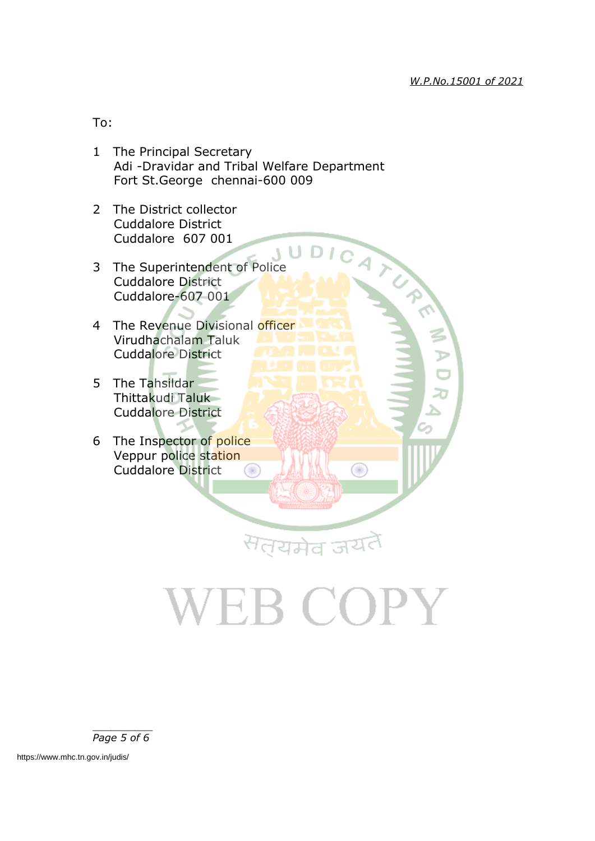To:

- 1 The Principal Secretary Adi -Dravidar and Tribal Welfare Department Fort St.George chennai-600 009
- 2 The District collector Cuddalore District Cuddalore 607 001
- Cuddalore District<br>3 The Superintendent of Police<br>3 The Superintendent of Police Cuddalore District Cuddalore-607 001
- 4 The Revenue Divisional officer Virudhachalam Taluk Cuddalore District
- 5 The Tahsildar Thittakudi Taluk Cuddalore District
- 6 The Inspector of police Veppur police station Cuddalore District  $\bigcirc$

# VEB COPY

सत्यमेव जय

œ